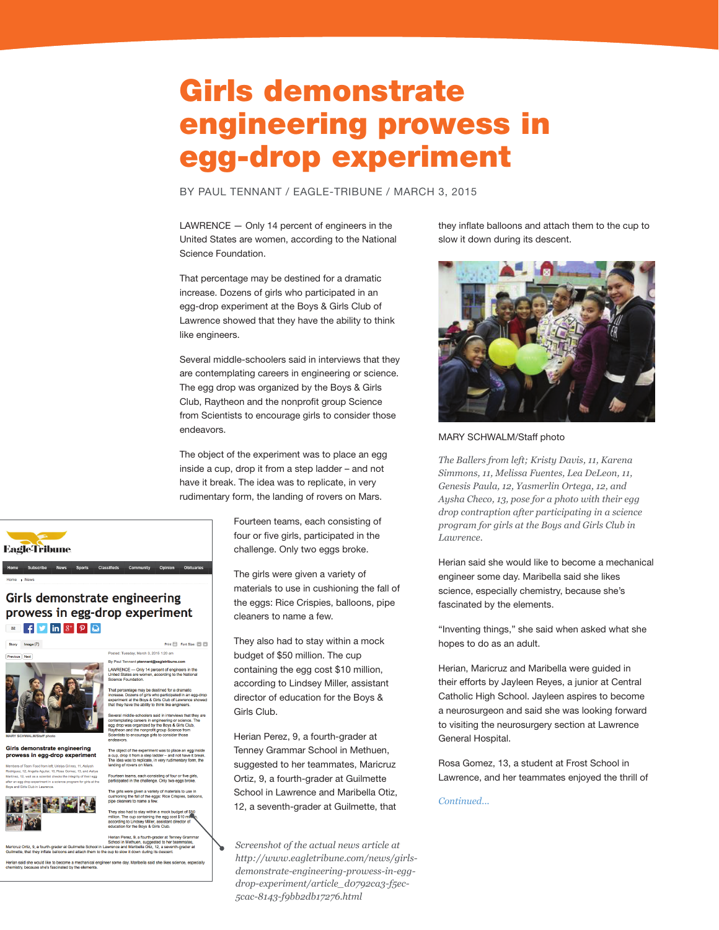## Girls demonstrate engineering prowess in egg-drop experiment

BY PAUL TENNANT / EAGLE-TRIBUNE / MARCH 3, 2015

LAWRENCE — Only 14 percent of engineers in the United States are women, according to the National Science Foundation.

That percentage may be destined for a dramatic increase. Dozens of girls who participated in an egg-drop experiment at the Boys & Girls Club of Lawrence showed that they have the ability to think like engineers.

Several middle-schoolers said in interviews that they are contemplating careers in engineering or science. The egg drop was organized by the Boys & Girls Club, Raytheon and the nonprofit group Science from Scientists to encourage girls to consider those endeavors.

The object of the experiment was to place an egg inside a cup, drop it from a step ladder – and not have it break. The idea was to replicate, in very rudimentary form, the landing of rovers on Mars.

> Fourteen teams, each consisting of four or five girls, participated in the challenge. Only two eggs broke.

The girls were given a variety of materials to use in cushioning the fall of the eggs: Rice Crispies, balloons, pipe cleaners to name a few.

They also had to stay within a mock budget of \$50 million. The cup containing the egg cost \$10 million, according to Lindsey Miller, assistant director of education for the Boys & Girls Club.

Herian Perez, 9, a fourth-grader at Tenney Grammar School in Methuen, suggested to her teammates, Maricruz Ortiz, 9, a fourth-grader at Guilmette School in Lawrence and Maribella Otiz, 12, a seventh-grader at Guilmette, that

*Screenshot of the actual news article at http://www.eagletribune.com/news/girlsdemonstrate-engineering-prowess-in-eggdrop-experiment/article\_d0792ca3-f5ec-5cac-8143-f9bb2db17276.html*

they inflate balloons and attach them to the cup to slow it down during its descent.



MARY SCHWALM/Staff photo

*The Ballers from left; Kristy Davis, 11, Karena Simmons, 11, Melissa Fuentes, Lea DeLeon, 11, Genesis Paula, 12, Yasmerlin Ortega, 12, and Aysha Checo, 13, pose for a photo with their egg drop contraption after participating in a science program for girls at the Boys and Girls Club in Lawrence.*

Herian said she would like to become a mechanical engineer some day. Maribella said she likes science, especially chemistry, because she's fascinated by the elements.

"Inventing things," she said when asked what she hopes to do as an adult.

Herian, Maricruz and Maribella were guided in their efforts by Jayleen Reyes, a junior at Central Catholic High School. Jayleen aspires to become a neurosurgeon and said she was looking forward to visiting the neurosurgery section at Lawrence General Hospital.

Rosa Gomez, 13, a student at Frost School in Lawrence, and her teammates enjoyed the thrill of

*Continued...*

Girls demonstrate engineering prowess in egg-drop experiment

## $\mathbb{R}$   $\mathbb{F}$   $\mathbb{S}$   $\mathbb{R}$   $\mathbb{R}$   $\mathbb{R}$ -<br>Postad: Tugaday March 3, 2015 1:20 am

**EagleTribune** 



Girls demonstrate engineering prowess in egg-drop experiment



thin a mock budget of \$50<br>ng the egg cost \$10 million<br>ler, assistant director of idsey Miller, assista<br>e Boys & Girls Clut

n Methuen, suggested to he<br>nd Maribella Otiz, 12, a sev icruz Ortiz, 9, a fourth-grader at Guilmette School in I<br>mette, that they inflate balloons and attach them to th

ad to stav within a mock t

Print  $\Box$  Font Size:  $\Box$   $\Box$ 

Herian said she would like to become a mechanical engineer some day. Maribella said she likes sci<br>chemistry, because she's fascinated by the elements.